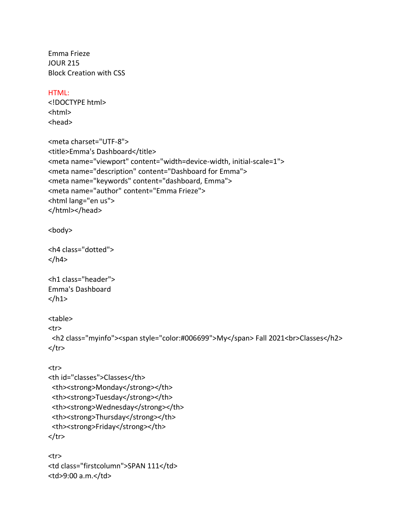Emma Frieze JOUR 215 Block Creation with CSS

## HTML:

<!DOCTYPE html> <html> <head>

```
<meta charset="UTF-8">
<title>Emma's Dashboard</title>
<meta name="viewport" content="width=device-width, initial-scale=1">
<meta name="description" content="Dashboard for Emma">
<meta name="keywords" content="dashboard, Emma">
<meta name="author" content="Emma Frieze">
<html lang="en us">
</html></head>
```
<body>

```
<h4 class="dotted">
</h4>
```

```
<h1 class="header">
Emma's Dashboard
</h1>
```
<table>

<tr>

```
 <h2 class="myinfo"><span style="color:#006699">My</span> Fall 2021<br>Classes</h2>
\langletr>
```

```
<tr>
```

```
<th id="classes">Classes</th>
 <th><strong>Monday</strong></th>
 <th><strong>Tuesday</strong></th>
 <th><strong>Wednesday</strong></th>
<th><strong>Thursday</strong></th>
<th><strong>Friday</strong></th>
</tr>
```

```
<tr>
<td class="firstcolumn">SPAN 111</td>
<td>9:00 a.m.</td>
```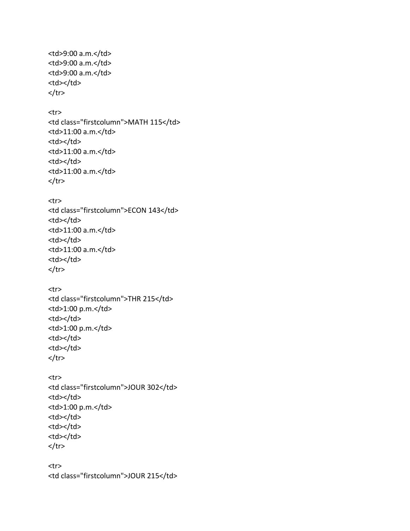<td>9:00 a.m.</td> <td>9:00 a.m.</td> <td>9:00 a.m.</td> <td></td>  $\langle$ tr> <tr> <td class="firstcolumn">MATH 115</td> <td>11:00 a.m.</td> <td></td> <td>11:00 a.m.</td> <td></td> <td>11:00 a.m.</td>  $\langle$ tr> <tr> <td class="firstcolumn">ECON 143</td> <td></td> <td>11:00 a.m.</td> <td></td> <td>11:00 a.m.</td> <td></td>  $\langle$ tr> <tr> <td class="firstcolumn">THR 215</td> <td>1:00 p.m.</td> <td></td> <td>1:00 p.m.</td> <td></td> <td></td>  $\langle$ tr> <tr> <td class="firstcolumn">JOUR 302</td> <td></td> <td>1:00 p.m.</td> <td></td> <td></td> <td></td>  $\langle$ tr> <tr> <td class="firstcolumn">JOUR 215</td>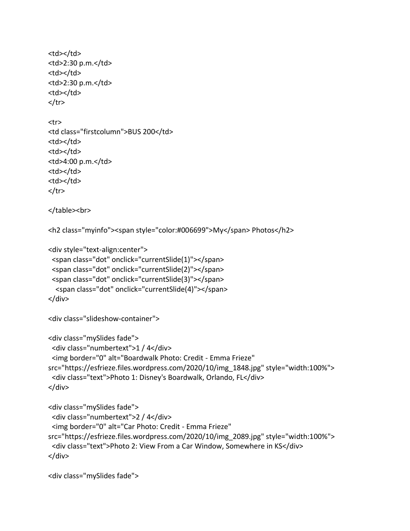```
<td></td>
<td>2:30 p.m.</td>
<td></td>
<td>2:30 p.m.</td>
<td></td>
\langletr>
<tr>
<td class="firstcolumn">BUS 200</td>
<td></td>
<td></td>
<td>4:00 p.m.</td>
<td></td>
<td></td>
\langletr>
</table><br>
<h2 class="myinfo"><span style="color:#006699">My</span> Photos</h2>
<div style="text-align:center">
  <span class="dot" onclick="currentSlide(1)"></span> 
  <span class="dot" onclick="currentSlide(2)"></span> 
  <span class="dot" onclick="currentSlide(3)"></span> 
   <span class="dot" onclick="currentSlide(4)"></span> 
</div>
<div class="slideshow-container">
<div class="mySlides fade">
  <div class="numbertext">1 / 4</div>
  <img border="0" alt="Boardwalk Photo: Credit - Emma Frieze" 
src="https://esfrieze.files.wordpress.com/2020/10/img_1848.jpg" style="width:100%">
  <div class="text">Photo 1: Disney's Boardwalk, Orlando, FL</div>
</div>
<div class="mySlides fade">
  <div class="numbertext">2 / 4</div>
  <img border="0" alt="Car Photo: Credit - Emma Frieze" 
src="https://esfrieze.files.wordpress.com/2020/10/img_2089.jpg" style="width:100%">
```

```
 <div class="text">Photo 2: View From a Car Window, Somewhere in KS</div>
</div>
```
<div class="mySlides fade">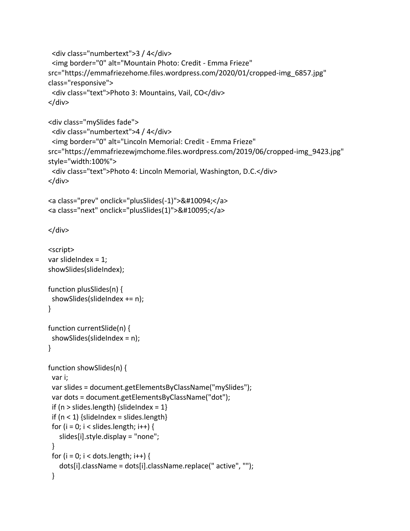```
 <div class="numbertext">3 / 4</div>
  <img border="0" alt="Mountain Photo: Credit - Emma Frieze" 
src="https://emmafriezehome.files.wordpress.com/2020/01/cropped-img_6857.jpg" 
class="responsive">
  <div class="text">Photo 3: Mountains, Vail, CO</div>
</div>
```

```
<div class="mySlides fade">
  <div class="numbertext">4 / 4</div>
  <img border="0" alt="Lincoln Memorial: Credit - Emma Frieze" 
src="https://emmafriezewjmchome.files.wordpress.com/2019/06/cropped-img_9423.jpg" 
style="width:100%">
  <div class="text">Photo 4: Lincoln Memorial, Washington, D.C.</div>
</div>
```

```
<a class="prev" onclick="plusSlides(-1)">&#10094;</a>
<a class="next" onclick="plusSlides(1)">&#10095;</a>
```

```
</div>
```

```
<script>
var slideIndex = 1;
showSlides(slideIndex);
function plusSlides(n) {
  showSlides(slideIndex += n);
}
function currentSlide(n) {
  showSlides(slideIndex = n);
}
function showSlides(n) {
 var i;
  var slides = document.getElementsByClassName("mySlides");
  var dots = document.getElementsByClassName("dot");
 if (n > slides.length) {slideIndex = 1}
 if (n < 1) {slideIndex = slides.length}
 for (i = 0; i < slides.length; i++) {
    slides[i].style.display = "none"; 
  }
 for (i = 0; i < dots.length; i++) {
    dots[i].className = dots[i].className.replace(" active", "");
  }
```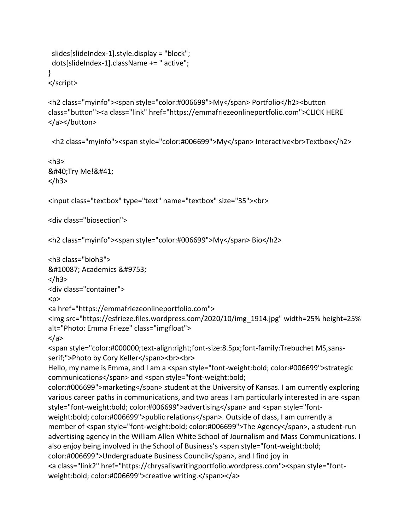```
 slides[slideIndex-1].style.display = "block"; 
  dots[slideIndex-1].className += " active";
}
```
</script>

<h2 class="myinfo"><span style="color:#006699">My</span> Portfolio</h2><button class="button"><a class="link" href="https://emmafriezeonlineportfolio.com">CLICK HERE </a></button>

<h2 class="myinfo"><span style="color:#006699">My</span> Interactive<br>Textbox</h2>

```
<h3>(Try Me!)
</h3>
```

```
<input class="textbox" type="text" name="textbox" size="35"><br>
```
<div class="biosection">

```
<h2 class="myinfo"><span style="color:#006699">My</span> Bio</h2>
```

```
<h3 class="bioh3">
❧ Academics ☙
</h3>
<div class="container">
<p>
<a href="https://emmafriezeonlineportfolio.com">
<img src="https://esfrieze.files.wordpress.com/2020/10/img_1914.jpg" width=25% height=25% 
alt="Photo: Emma Frieze" class="imgfloat">
</a>
<span style="color:#000000;text-align:right;font-size:8.5px;font-family:Trebuchet MS,sans-
serif;">Photo by Cory Keller</span><br>>>br>
Hello, my name is Emma, and I am a <span style="font-weight:bold; color:#006699">strategic 
communications</span> and <span style="font-weight:bold;
color:#006699">marketing</span> student at the University of Kansas. I am currently exploring
various career paths in communications, and two areas I am particularly interested in are <span 
style="font-weight:bold; color:#006699">advertising</span> and <span style="font-
weight:bold; color:#006699">public relations</span>. Outside of class, I am currently a 
member of <span style="font-weight:bold; color:#006699">The Agency</span>, a student-run 
advertising agency in the William Allen White School of Journalism and Mass Communications. I 
also enjoy being involved in the School of Business's <span style="font-weight:bold; 
color:#006699">Undergraduate Business Council</span>, and I find joy in
<a class="link2" href="https://chrysaliswritingportfolio.wordpress.com"><span style="font-
weight:bold; color:#006699">creative writing.</span></a>
```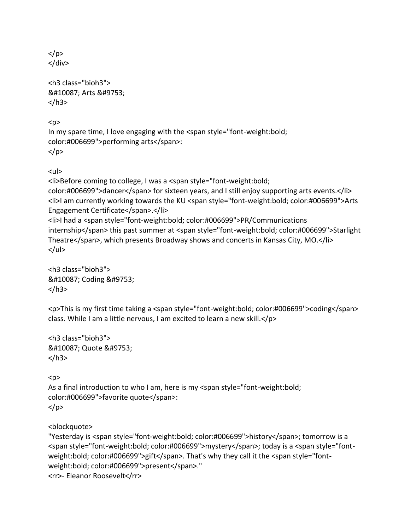$<$ /p $>$ </div>

<h3 class="bioh3"> ❧ Arts ☙ </h3>

 $< p >$ In my spare time, I love engaging with the <span style="font-weight:bold; color:#006699">performing arts</span>: </p>

<ul>

<li>Before coming to college, I was a <span style="font-weight:bold; color:#006699">dancer</span> for sixteen years, and I still enjoy supporting arts events.</li> <li>I am currently working towards the KU <span style="font-weight:bold; color:#006699">Arts Engagement Certificate</span>.</li> <li>I had a <span style="font-weight:bold; color:#006699">PR/Communications internship</span> this past summer at <span style="font-weight:bold; color:#006699">Starlight Theatre</span>, which presents Broadway shows and concerts in Kansas City, MO.</li>  $<$ /ul $>$ 

<h3 class="bioh3"> ❧ Coding ☙ </h3>

<p>This is my first time taking a <span style="font-weight:bold; color:#006699">coding</span> class. While I am a little nervous, I am excited to learn a new skill.</p>

```
<h3 class="bioh3">
❧ Quote ☙
</h3>
```
 $<sub>D</sub>$ </sub> As a final introduction to who I am, here is my <span style="font-weight:bold; color:#006699">favorite quote</span>: </p>

<blockquote>

"Yesterday is <span style="font-weight:bold; color:#006699">history</span>; tomorrow is a <span style="font-weight:bold; color:#006699">mystery</span>; today is a <span style="fontweight:bold; color:#006699">gift</span>. That's why they call it the <span style="fontweight:bold; color:#006699">present</span>." <rr>- Eleanor Roosevelt</rr>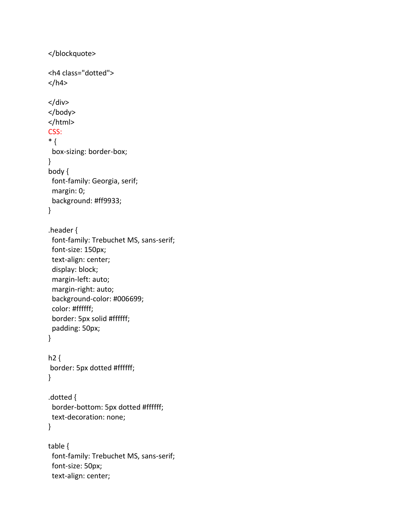```
</blockquote>
<h4 class="dotted">
</h4>
</div>
</body>
</html>
CSS:
* {
  box-sizing: border-box;
}
body {
 font-family: Georgia, serif;
  margin: 0;
  background: #ff9933;
}
.header {
 font-family: Trebuchet MS, sans-serif;
  font-size: 150px;
  text-align: center;
  display: block;
  margin-left: auto;
  margin-right: auto;
  background-color: #006699;
  color: #ffffff;
  border: 5px solid #ffffff;
  padding: 50px;
}
h2 {
border: 5px dotted #ffffff;
}
.dotted {
  border-bottom: 5px dotted #ffffff;
 text-decoration: none;
}
table {
  font-family: Trebuchet MS, sans-serif;
  font-size: 50px;
  text-align: center;
```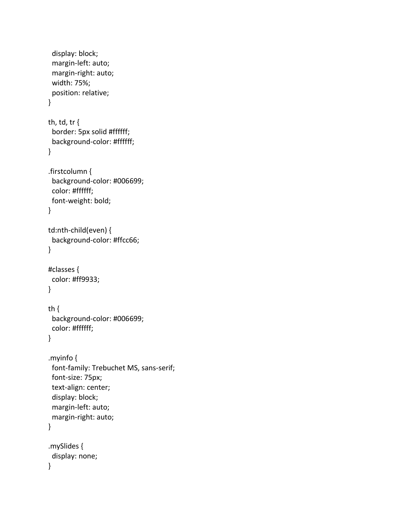```
 display: block;
  margin-left: auto;
  margin-right: auto;
  width: 75%;
  position: relative;
}
th, td, tr {
  border: 5px solid #ffffff;
  background-color: #ffffff;
}
.firstcolumn {
  background-color: #006699;
  color: #ffffff;
 font-weight: bold;
}
td:nth-child(even) {
 background-color: #ffcc66;
}
#classes {
  color: #ff9933;
}
th {
  background-color: #006699;
  color: #ffffff;
}
.myinfo {
 font-family: Trebuchet MS, sans-serif;
  font-size: 75px;
  text-align: center;
  display: block;
  margin-left: auto;
  margin-right: auto;
}
.mySlides {
  display: none;
}
```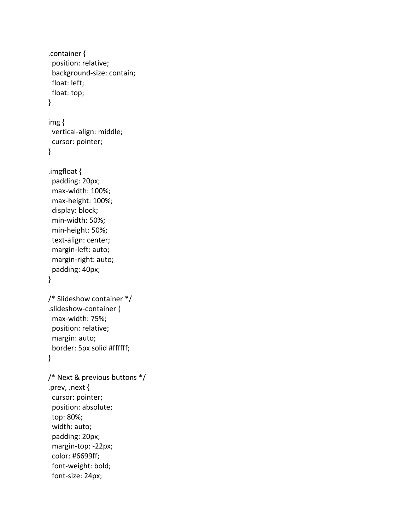```
.container {
  position: relative;
  background-size: contain;
  float: left;
  float: top;
}
img {
  vertical-align: middle;
  cursor: pointer;
}
.imgfloat {
  padding: 20px;
  max-width: 100%;
  max-height: 100%;
  display: block;
  min-width: 50%;
  min-height: 50%;
  text-align: center;
  margin-left: auto;
  margin-right: auto;
  padding: 40px;
}
/* Slideshow container */
.slideshow-container {
  max-width: 75%;
  position: relative;
  margin: auto;
  border: 5px solid #ffffff;
}
/* Next & previous buttons */
.prev, .next {
  cursor: pointer;
  position: absolute;
  top: 80%;
  width: auto;
  padding: 20px;
  margin-top: -22px;
  color: #6699ff;
  font-weight: bold;
  font-size: 24px;
```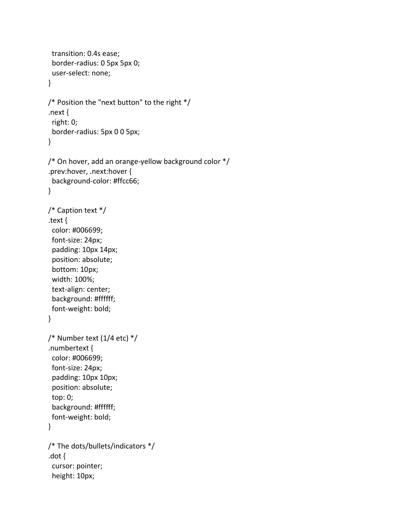```
 transition: 0.4s ease;
  border-radius: 0 5px 5px 0;
  user-select: none;
}
/* Position the "next button" to the right */
.next {
  right: 0;
  border-radius: 5px 0 0 5px;
}
/* On hover, add an orange-yellow background color */
.prev:hover, .next:hover {
  background-color: #ffcc66;
}
/* Caption text */
.text {
  color: #006699;
  font-size: 24px;
  padding: 10px 14px;
  position: absolute;
  bottom: 10px;
  width: 100%;
  text-align: center;
  background: #ffffff;
  font-weight: bold;
}
/* Number text (1/4 etc) */
.numbertext {
  color: #006699;
  font-size: 24px;
  padding: 10px 10px;
  position: absolute;
  top: 0;
  background: #ffffff;
  font-weight: bold;
}
/* The dots/bullets/indicators */
.dot {
  cursor: pointer;
  height: 10px;
```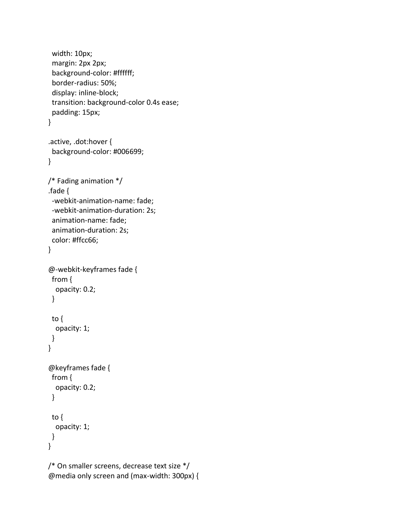```
 width: 10px;
  margin: 2px 2px;
  background-color: #ffffff;
  border-radius: 50%;
  display: inline-block;
  transition: background-color 0.4s ease;
  padding: 15px;
}
.active, .dot:hover {
  background-color: #006699;
}
/* Fading animation */
.fade {
  -webkit-animation-name: fade;
  -webkit-animation-duration: 2s;
  animation-name: fade;
  animation-duration: 2s;
  color: #ffcc66;
}
@-webkit-keyframes fade {
 from {
   opacity: 0.2;
  }
 to {
   opacity: 1;
 }
}
@keyframes fade {
 from {
   opacity: 0.2;
  }
  to {
   opacity: 1;
 }
}
/* On smaller screens, decrease text size */
@media only screen and (max-width: 300px) {
```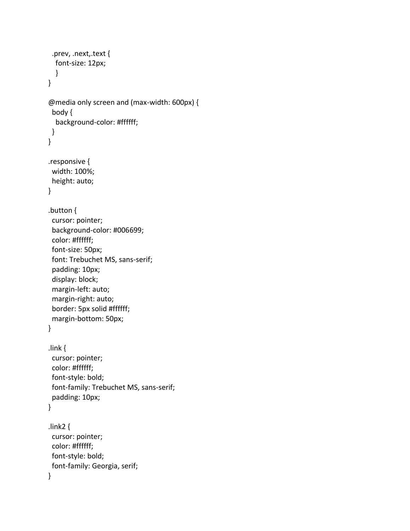```
 .prev, .next,.text {
   font-size: 12px;
   }
}
@media only screen and (max-width: 600px) {
  body {
   background-color: #ffffff;
 }
}
.responsive {
  width: 100%;
  height: auto;
}
.button {
  cursor: pointer;
  background-color: #006699;
  color: #ffffff;
  font-size: 50px;
  font: Trebuchet MS, sans-serif;
  padding: 10px;
  display: block;
  margin-left: auto;
  margin-right: auto;
  border: 5px solid #ffffff;
  margin-bottom: 50px;
}
.link {
  cursor: pointer;
  color: #ffffff;
  font-style: bold;
  font-family: Trebuchet MS, sans-serif;
  padding: 10px;
}
.link2 {
  cursor: pointer;
  color: #ffffff;
  font-style: bold;
  font-family: Georgia, serif;
}
```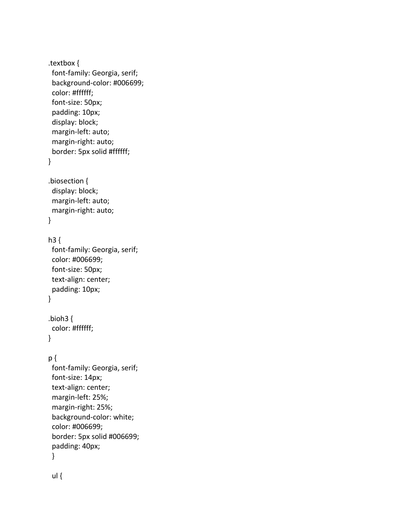.textbox { font-family: Georgia, serif; background-color: #006699; color: #ffffff; font-size: 50px; padding: 10px; display: block; margin-left: auto; margin-right: auto; border: 5px solid #ffffff; } .biosection { display: block; margin-left: auto; margin-right: auto; }  $h3$  { font-family: Georgia, serif; color: #006699; font-size: 50px; text-align: center; padding: 10px; } .bioh3 { color: #ffffff; } p { font-family: Georgia, serif; font-size: 14px; text-align: center; margin-left: 25%; margin-right: 25%; background-color: white; color: #006699; border: 5px solid #006699; padding: 40px; } ul {